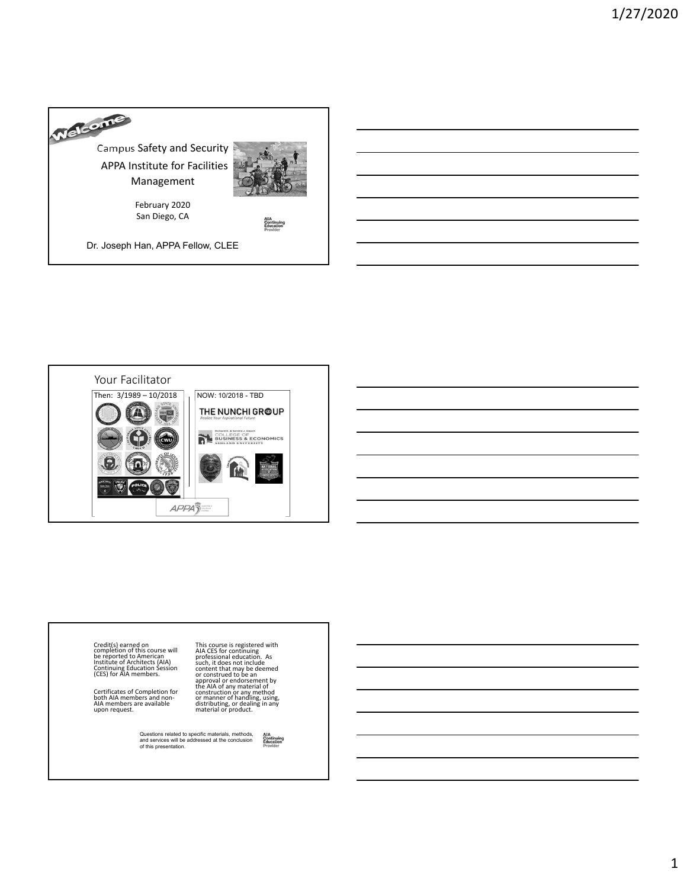



Credit(s) earned on<br>completion of this course will<br>be reported to American<br>Institute of Architects (AIA) Continuing Education Session (CES) for AIA members.

Certificates of Completion for<br>both AIA members and non-<br>AIA members are available<br>upon request.

This course is registered with<br>AIA CES for continuing<br>professional education. As<br>such, it does not include<br>content that may be deemed<br>or construed to be an<br>approval or endorsement by<br>the AIA of any material of<br>construction

Questions related to specific materials, methods, and services will be addressed at the conclusion of this presentation.AIA<br>Continuing<br>Education<br>Provider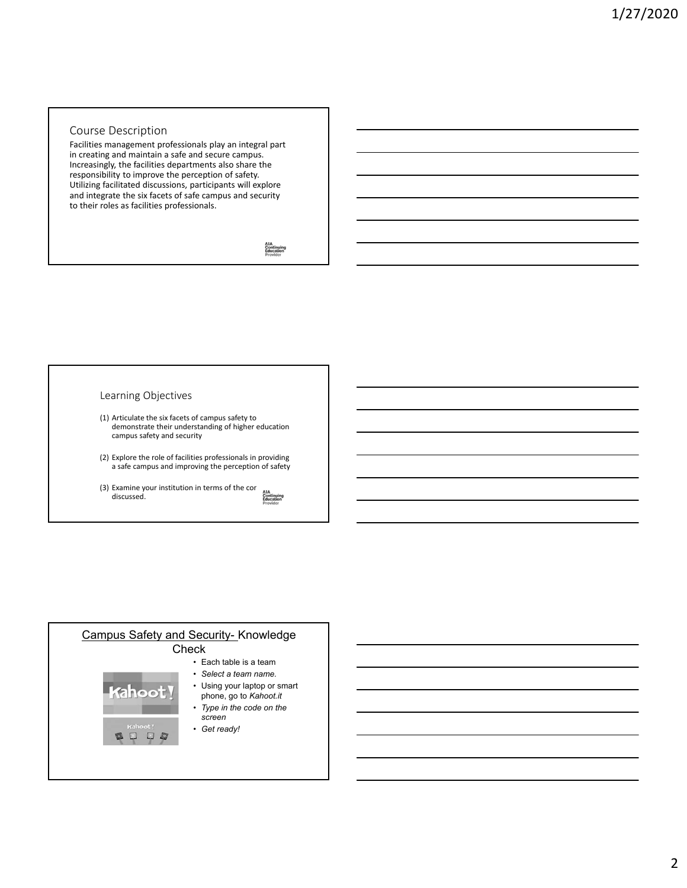# Course Description

Facilities management professionals play an integral part in creating and maintain a safe and secure campus. Increasingly, the facilities departments also share the responsibility to improve the perception of safety. Utilizing facilitated discussions, participants will explore and integrate the six facets of safe campus and security to their roles as facilities professionals.

AIA<br>Continuing<br>Education

# Learning Objectives

- (1) Articulate the six facets of campus safety to demonstrate their understanding of higher education campus safety and security
- (2) Explore the role of facilities professionals in providing a safe campus and improving the perception of safety
- (3) Examine your institution in terms of the cor<br>discussed.<br>*Education*<br>*Equation* discussed.

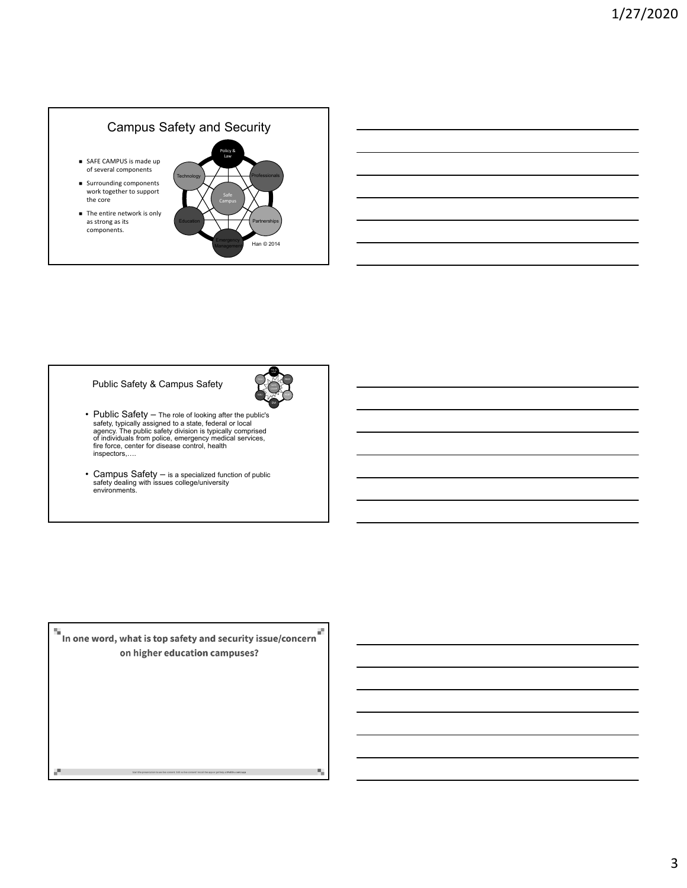# Campus Safety and Security

- SAFE CAMPUS is made up of several components
- Surrounding components work together to support the core
- The entire network is only as strong as its components.



#### Public Safety & Campus Safety

POL & LAW EM

н,

- Public Safety The role of looking after the public's safety, typically assigned to a state, federal or local<br>agency. The public safety division is typically comprised<br>of individuals from police, emergency medical servi
- Campus Safety is a specialized function of public safety dealing with issues college/university environments.

 $\blacksquare$  In one word, what is top safety and security issue/concern on higher education campuses?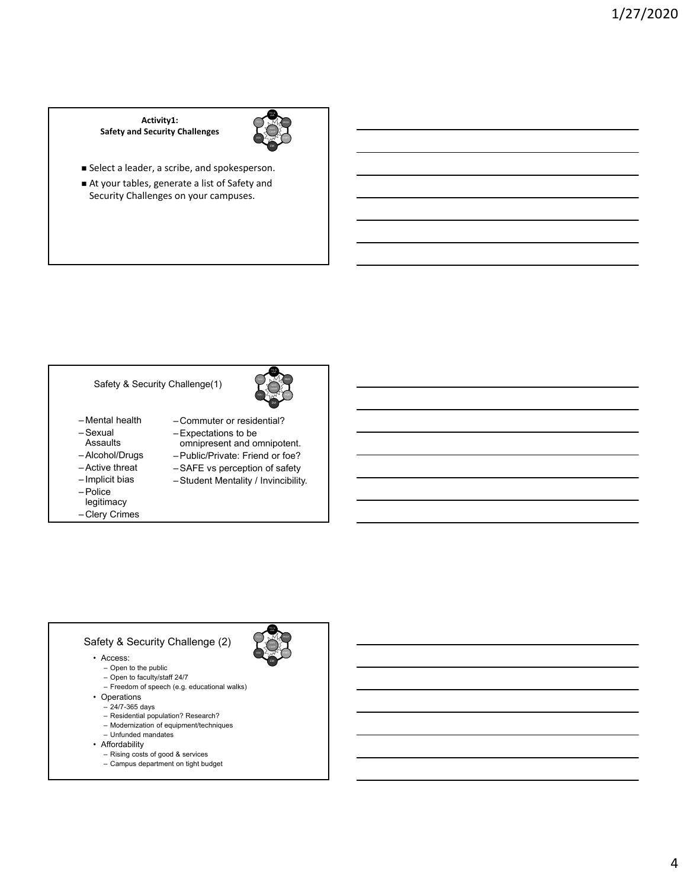#### **Activity1: Safety and Security Challenges**



- Select a leader, a scribe, and spokesperson.
- At your tables, generate a list of Safety and Security Challenges on your campuses.

# Safety & Security Challenge(1)

- Mental health
- Sexual
- Assaults
- Alcohol/Drugs
- Active threat
- Implicit bias
- Police
- legitimacy
- Clery Crimes



- Commuter or residential?
- Expectations to be
- omnipresent and omnipotent. – Public/Private: Friend or foe?
- SAFE vs perception of safety
- Student Mentality / Invincibility.

# Safety & Security Challenge (2)

- Access:
	- Open to the public
	- Open to faculty/staff 24/7
	- Freedom of speech (e.g. educational walks)
- Operations – 24/7-365 days
	- Residential population? Research?
	- Modernization of equipment/techniques
	- Unfunded mandates
- Affordability
	- Rising costs of good & services
	- Campus department on tight budget



4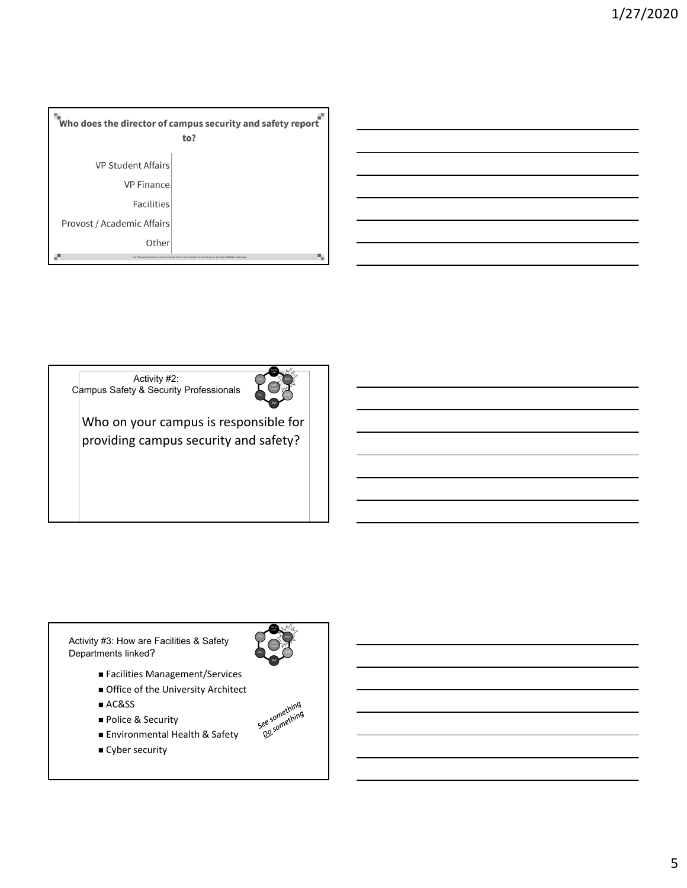



 $\mathbf{v}$ Who on your campus is responsible for – Facilities Management providing campus security and safety?

Activity #3: How are Facilities & Safety Departments linked?

- Facilities Management/Services
- Office of the University Architect
- AC&SS
- Police & Security
- Environmental Health & Safety
- **Cyber security**



POL & LAW

5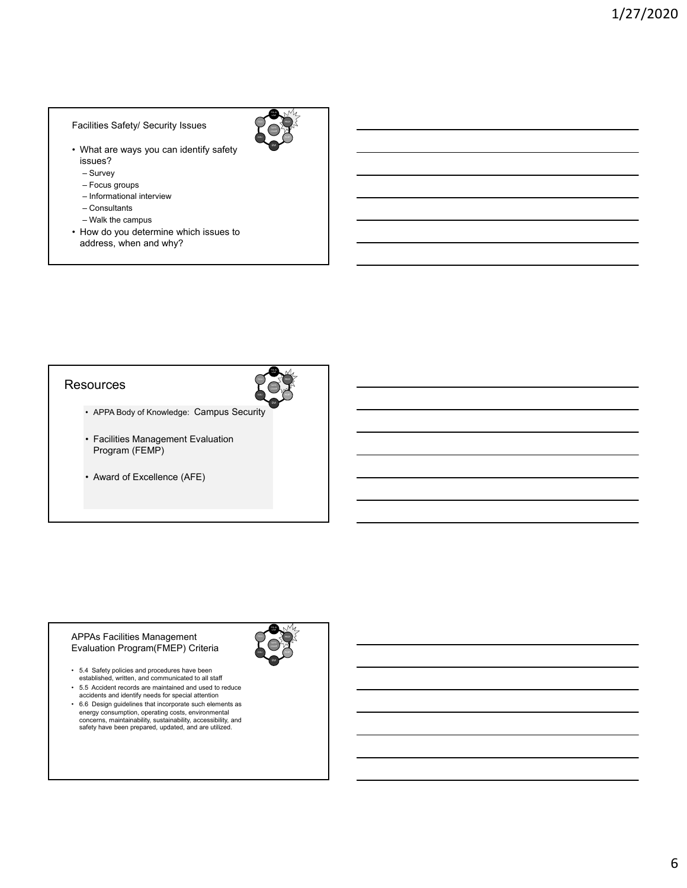#### Facilities Safety/ Security Issues

- What are ways you can identify safety issues?
	- Survey
	- Focus groups
	- Informational interview
	- Consultants
	- Walk the campus
- How do you determine which issues to address, when and why?

# **Resources**



POL & LAW

- APPA Body of Knowledge: Campus Security
- Facilities Management Evaluation Program (FEMP)
- Award of Excellence (AFE)

#### APPAs Facilities Management Evaluation Program(FMEP) Criteria

- 5.4 Safety policies and procedures have been established, written, and communicated to all staff
- 5.5 Accident records are maintained and used to reduce accidents and identify needs for special attention
- 6.6 Design guidelines that incorporate such elements as energy consumption, operating costs, environmental concerns, maintainability, sustainability, accessibility, and safety have been prepared, updated, and are utilized.

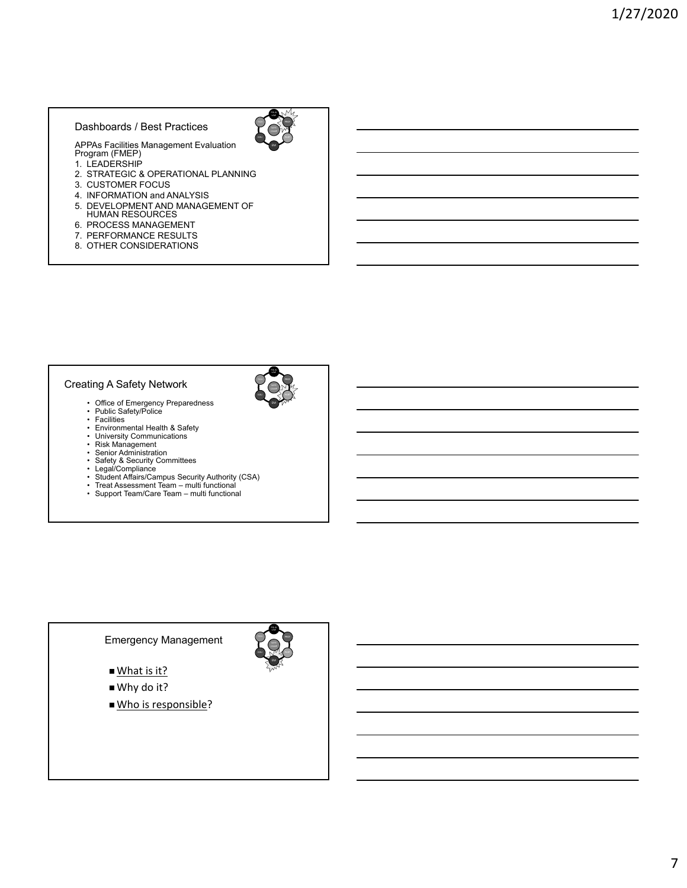# Dashboards / Best Practices





POL & LAW

EM

APPAs Facilities Management Evaluation Program (FMEP) 1. LEADERSHIP

- 
- 2. STRATEGIC & OPERATIONAL PLANNING
- 3. CUSTOMER FOCUS
- 4. INFORMATION and ANALYSIS
- 5. DEVELOPMENT AND MANAGEMENT OF HUMAN RESOURCES
- 6. PROCESS MANAGEMENT
- 7. PERFORMANCE RESULTS
- 8. OTHER CONSIDERATIONS

# Creating A Safety Network

- Office of Emergency Preparedness Public Safety/Police Facilities
- 
- 
- Environmental Health & Safety University Communications Risk Management Senior Administration
- 
- 
- 
- Safety & Security Committees<br>• Legal/Compliance<br>• Student Affairs/Campus Security Authority (CSA)<br>• Treat Assessment Team multi functional<br>• Support Team/Care Team multi functional
- 
- 

# Emergency Management

- What is it?
- Why do it?
- Who is responsible?

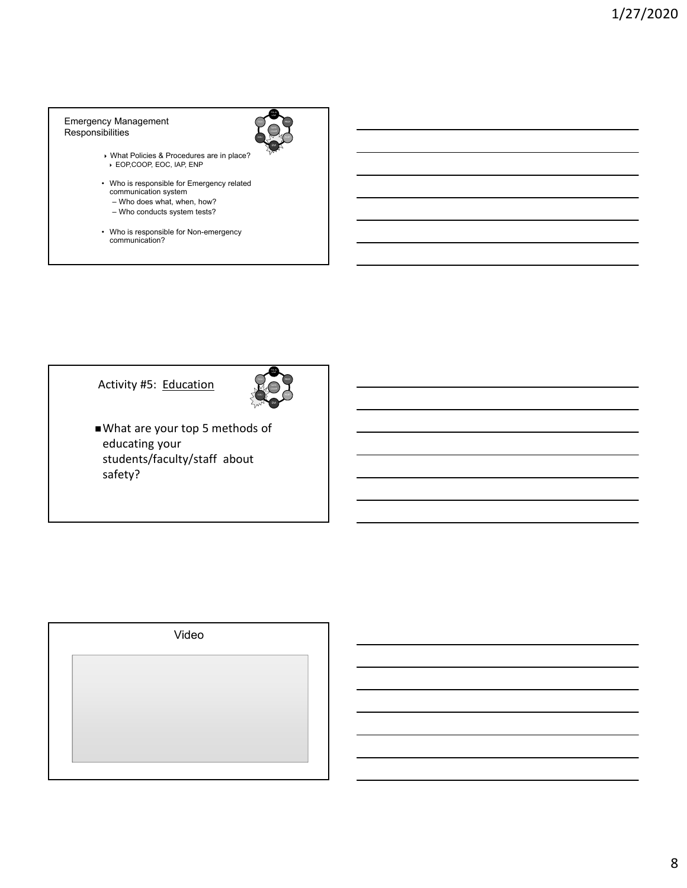#### Emergency Management Responsibilities



- What Policies & Procedures are in place? EOP,COOP, EOC, IAP, ENP
- Who is responsible for Emergency related communication system
- Who does what, when, how?
- Who conducts system tests?
- Who is responsible for Non-emergency communication?





What are your top 5 methods of educating your students/faculty/staff about safety?

| Video |  |
|-------|--|
|       |  |
|       |  |
|       |  |
|       |  |
|       |  |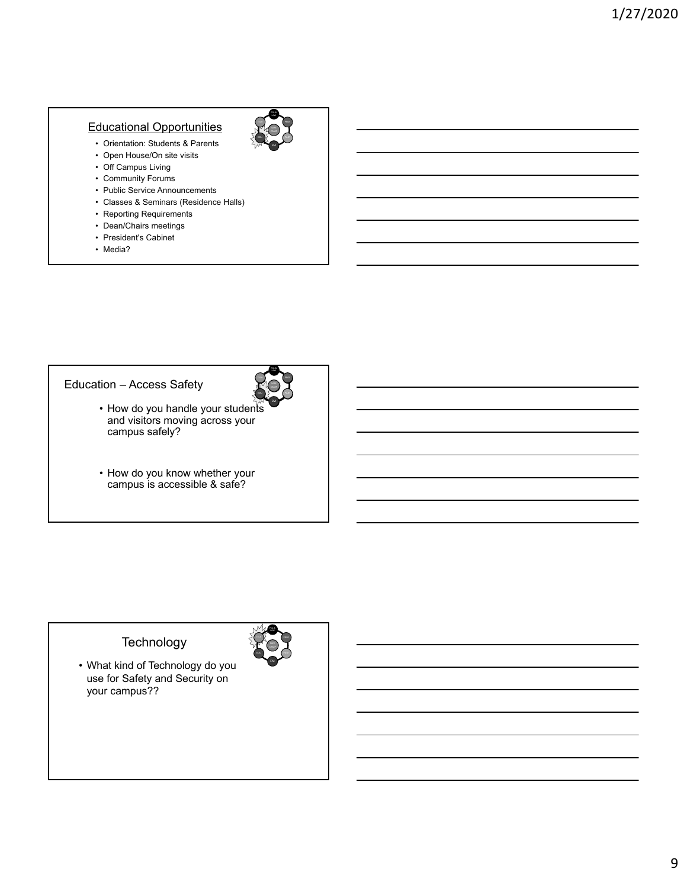# Educational Opportunities

- Orientation: Students & Parents
- Open House/On site visits
- Off Campus Living
- Community Forums
- Public Service Announcements • Classes & Seminars (Residence Halls)
- Reporting Requirements
- Dean/Chairs meetings
- President's Cabinet
- Media?

POL & LAW

Emergency

POL & LAW

# Education – Access Safety

- How do you handle your students and visitors moving across your campus safely?
- How do you know whether your campus is accessible & safe?

# **Technology**

• What kind of Technology do you use for Safety and Security on your campus??

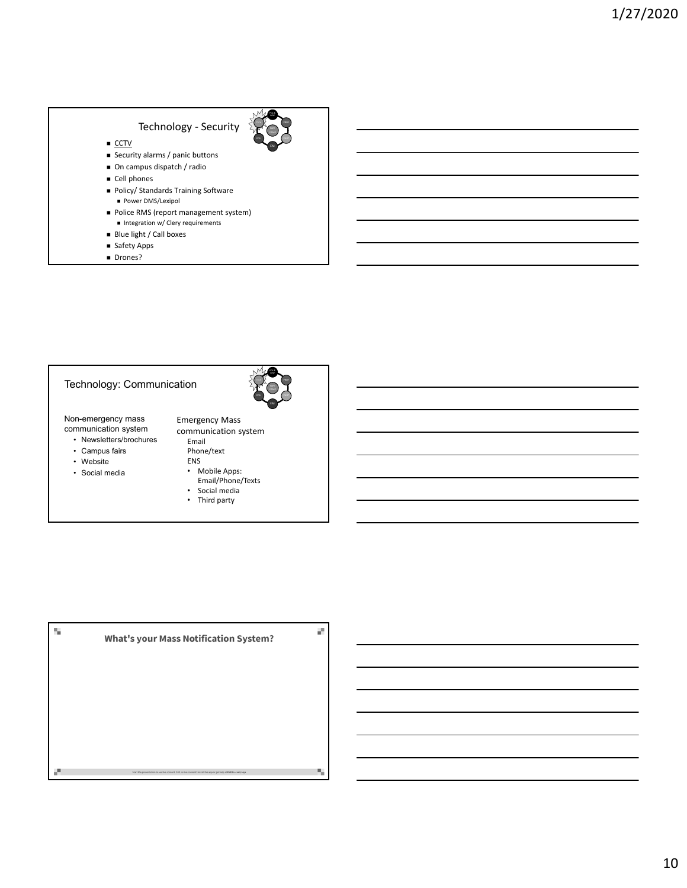# Technology - Security  $\overline{\text{CCTV}}$ ■ Security alarms / panic buttons ■ On campus dispatch / radio  $\blacksquare$  Cell phones ■ Policy/ Standards Training Software **Power DMS/Lexipol** ■ Police RMS (report management system)  $\blacksquare$  Integration w/ Clery requirements

- Blue light / Call boxes
- 
- Safety Apps
- Drones?

# Technology: Communication

Non-emergency mass communication system

- Newsletters/brochures
- Campus fairs
- Website
- Social media



POL &

Emergency Mass communication system Email

Phone/text ENS

- Mobile Apps: Email/Phone/Texts
- Social media
- Third party

S. ĕ. **What's your Mass Notification System?** н,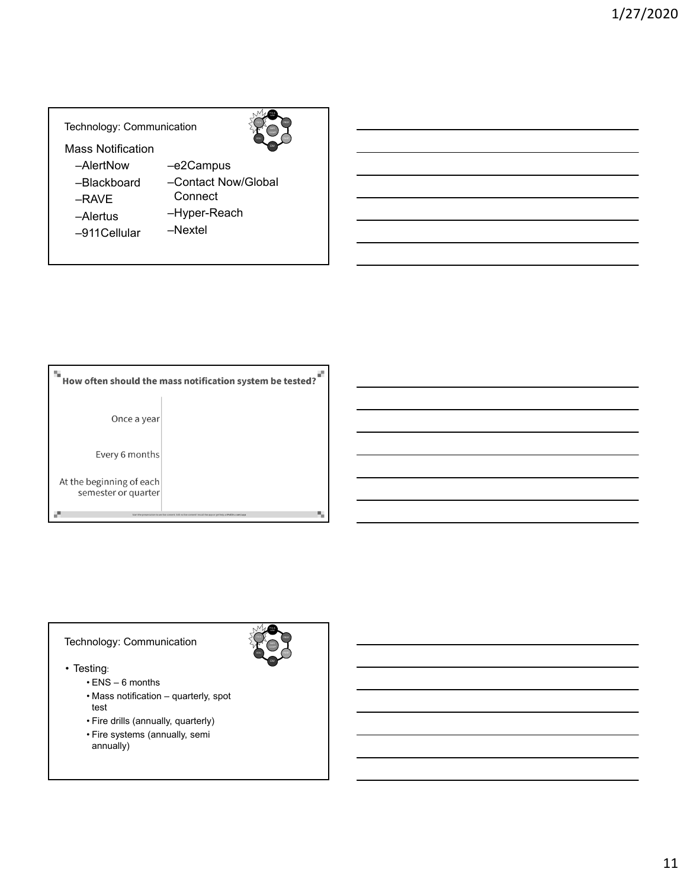# Technology: Communication

Mass Notification

- –AlertNow
- –Blackboard
- –RAVE
- –Alertus
- –e2Campus –Contact Now/Global **Connect**

POL &

- 
- –911Cellular
- –Hyper-Reach
- –Nextel

| How often should the mass notification system be tested? |                                                                                    |  |
|----------------------------------------------------------|------------------------------------------------------------------------------------|--|
| Once a year                                              |                                                                                    |  |
| Every 6 months                                           |                                                                                    |  |
| At the beginning of each<br>semester or quarter          |                                                                                    |  |
|                                                          | live content. Still no live content? install the app or get help at PollEy.com/app |  |

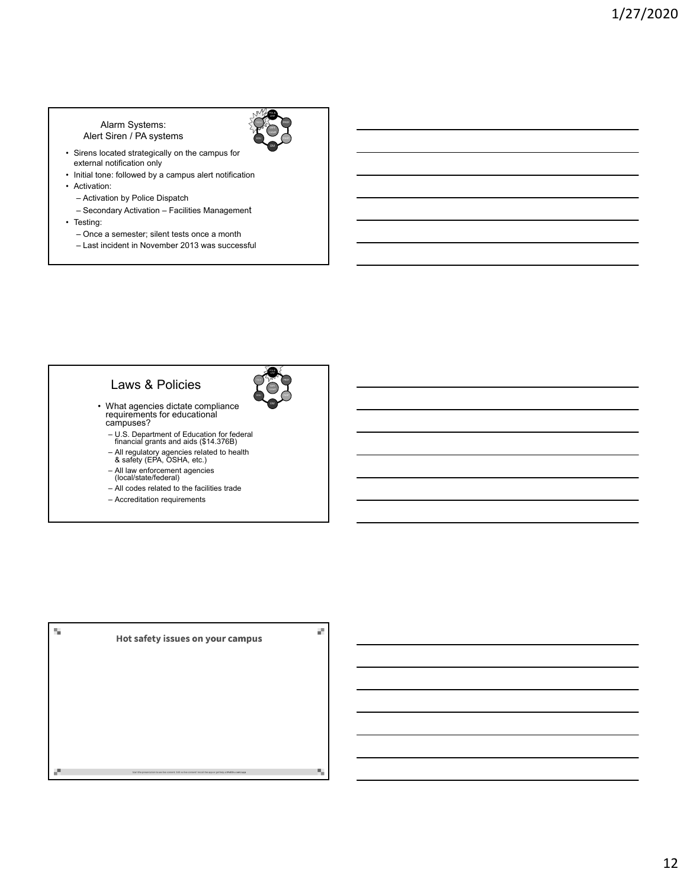## Alarm Systems: Alert Siren / PA systems



- Sirens located strategically on the campus for external notification only
- Initial tone: followed by a campus alert notification • Activation:
	- Activation by Police Dispatch
	- Secondary Activation Facilities Management
- Testing:
	- Once a semester; silent tests once a month
	- Last incident in November 2013 was successful

# Laws & Policies



- What agencies dictate compliance requirements for educational campuses?
	- U.S. Department of Education for federal financial grants and aids (\$14.376B)
	- All regulatory agencies related to health & safety (EPA, OSHA, etc.)
	- All law enforcement agencies (local/state/federal)
	- All codes related to the facilities trade
	- Accreditation requirements

| Hot safety issues on your campus                                                                                 |  |
|------------------------------------------------------------------------------------------------------------------|--|
|                                                                                                                  |  |
|                                                                                                                  |  |
|                                                                                                                  |  |
|                                                                                                                  |  |
| Start the presentation to see live content. Still no live content? Install the app or get help at PollEv.com/app |  |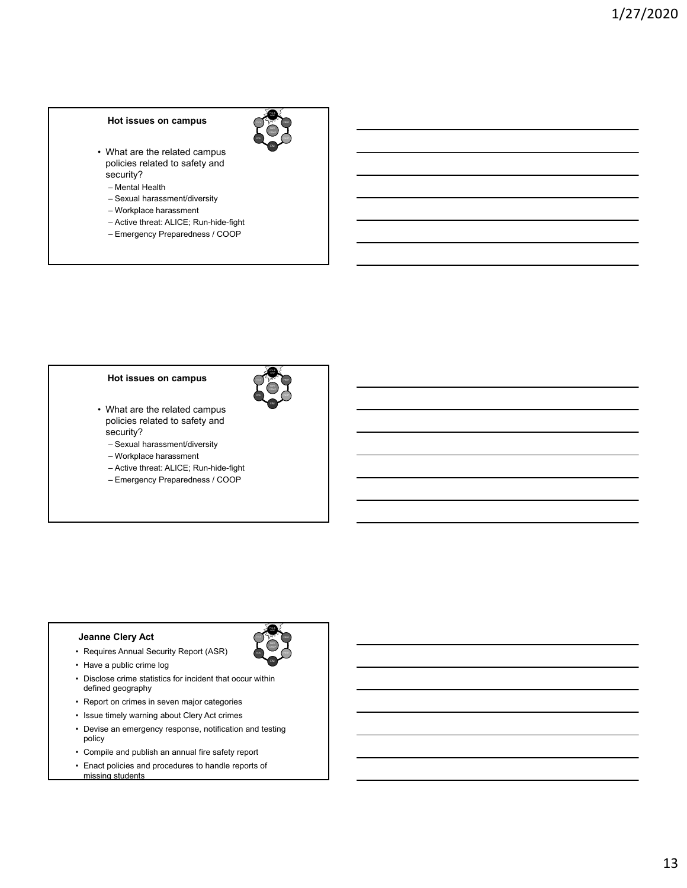#### **Hot issues on campus**

• What are the related campus policies related to safety and security?

POL &

POL & LAW

POL & LAW PROF

EDU

- Mental Health
- Sexual harassment/diversity
- Workplace harassment
- Active threat: ALICE; Run-hide-fight
- Emergency Preparedness / COOP

#### **Hot issues on campus**

- What are the related campus policies related to safety and security?
	- Sexual harassment/diversity
	- Workplace harassment
	- Active threat: ALICE; Run-hide-fight
	- Emergency Preparedness / COOP

#### **Jeanne Clery Act**

- Requires Annual Security Report (ASR)
- Have a public crime log
- Disclose crime statistics for incident that occur within defined geography
- Report on crimes in seven major categories
- Issue timely warning about Clery Act crimes
- Devise an emergency response, notification and testing policy
- Compile and publish an annual fire safety report
- Enact policies and procedures to handle reports of missing students

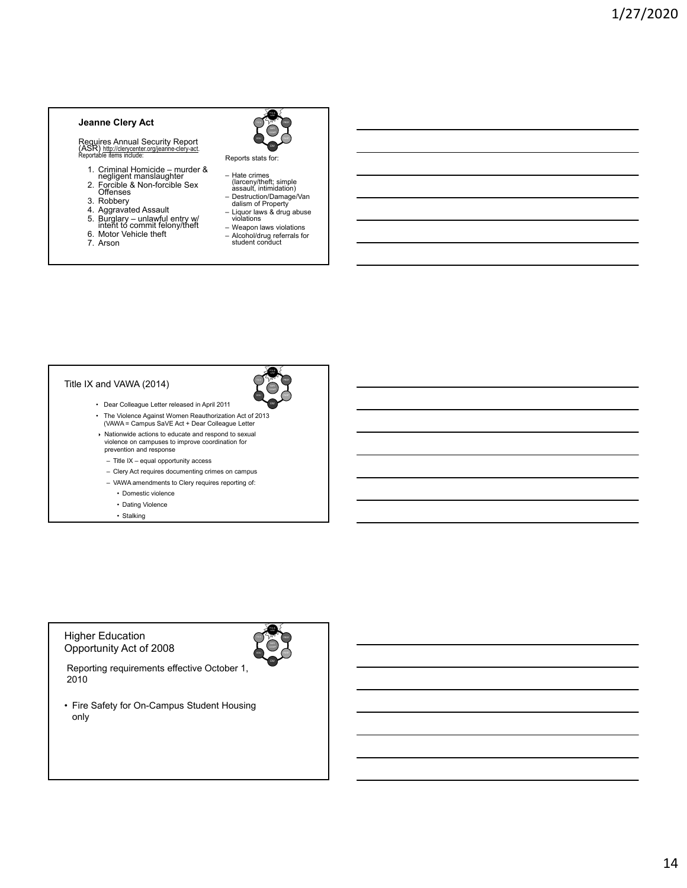#### **Jeanne Clery Act**

Requires Annual Security Report<br>(ASR) http://clerycenter.org/jeanne-clery-act.<br>Reportable items include:

- 
- 1. Criminal Homicide murder & negligent manslaughter 2. Forcible & Non-forcible Sex Offenses
- 3. Robbery
- 4. Aggravated Assault
- 5. Burglary unlawful entry w/ intent to commit felony/theft
- 6. Motor Vehicle theft
- 7. Arson



Reports stats for:

- 
- Hate crimes (larceny/theft; simple assault, intimidation) Destruction/Damage/Van dalism of Property
- 
- Liquor laws & drug abuse violations
- Weapon laws violations – Alcohol/drug referrals for student conduct

POL & LAW

EDU

# Title IX and VAWA (2014)

- Dear Colleague Letter released in April 2011
- The Violence Against Women Reauthorization Act of 2013 (VAWA = Campus SaVE Act + Dear Colleague Letter
- Nationwide actions to educate and respond to sexual violence on campuses to improve coordination for prevention and response
	- Title IX equal opportunity access
	- Clery Act requires documenting crimes on campus
	- VAWA amendments to Clery requires reporting of:
		- Domestic violence
		- Dating Violence
		- Stalking

## Higher Education Opportunity Act of 2008



Reporting requirements effective October 1, 2010

• Fire Safety for On-Campus Student Housing only